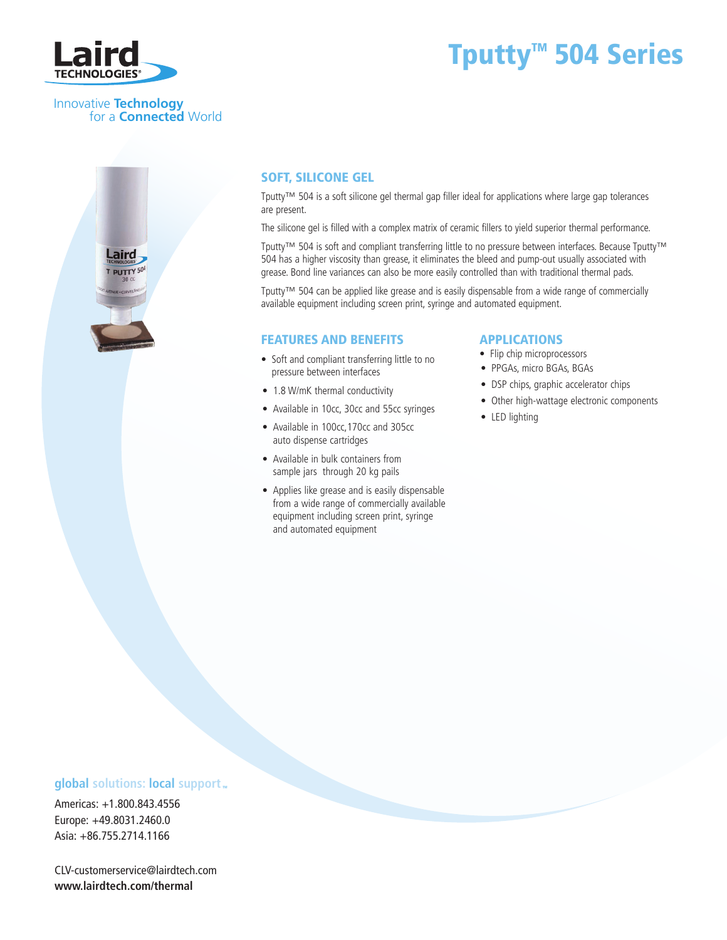

# Tputty<sup>™</sup> 504 Series

#### Innovative **Technology** for a **Connected** World



## Soft, Silicone Gel

Tputty™ 504 is a soft silicone gel thermal gap filler ideal for applications where large gap tolerances are present.

The silicone gel is filled with a complex matrix of ceramic fillers to yield superior thermal performance.

Tputty™ 504 is soft and compliant transferring little to no pressure between interfaces. Because Tputty™ 504 has a higher viscosity than grease, it eliminates the bleed and pump-out usually associated with grease. Bond line variances can also be more easily controlled than with traditional thermal pads.

Tputty™ 504 can be applied like grease and is easily dispensable from a wide range of commercially available equipment including screen print, syringe and automated equipment.

#### FEATURES AND BENEFITS

- Soft and compliant transferring little to no pressure between interfaces
- 1.8 W/mK thermal conductivity
- Available in 10cc, 30cc and 55cc syringes
- Available in 100cc,170cc and 305cc auto dispense cartridges
- Available in bulk containers from sample jars through 20 kg pails
- Applies like grease and is easily dispensable from a wide range of commercially available equipment including screen print, syringe and automated equipment

#### APPLICATIONS

- Flip chip microprocessors
- PPGAs, micro BGAs, BGAs
- DSP chips, graphic accelerator chips
- Other high-wattage electronic components
- LED lighting

### **global** solutions: local support ...

Americas: +1.800.843.4556 Europe: +49.8031.2460.0 Asia: +86.755.2714.1166

CLV-customerservice@lairdtech.com **www.lairdtech.com/thermal**